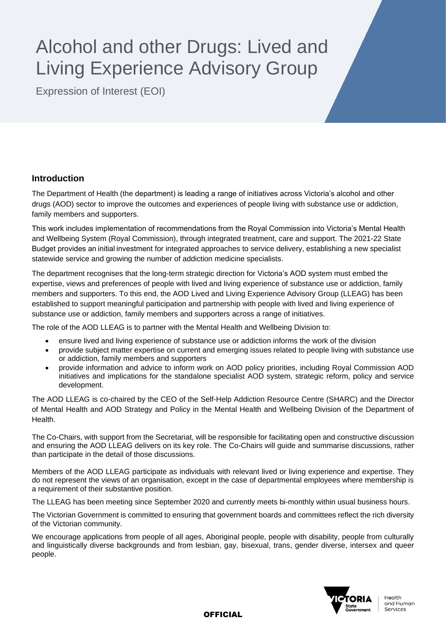# Alcohol and other Drugs: Lived and Living Experience Advisory Group

Expression of Interest (EOI)

# **Introduction**

The Department of Health (the department) is leading a range of initiatives across Victoria's alcohol and other drugs (AOD) sector to improve the outcomes and experiences of people living with substance use or addiction, family members and supporters.

This work includes implementation of recommendations from the Royal Commission into Victoria's Mental Health and Wellbeing System (Royal Commission), through integrated treatment, care and support. The 2021-22 State Budget provides an initial investment for integrated approaches to service delivery, establishing a new specialist statewide service and growing the number of addiction medicine specialists.

The department recognises that the long-term strategic direction for Victoria's AOD system must embed the expertise, views and preferences of people with lived and living experience of substance use or addiction, family members and supporters. To this end, the AOD Lived and Living Experience Advisory Group (LLEAG) has been established to support meaningful participation and partnership with people with lived and living experience of substance use or addiction, family members and supporters across a range of initiatives.

The role of the AOD LLEAG is to partner with the Mental Health and Wellbeing Division to:

- ensure lived and living experience of substance use or addiction informs the work of the division
- provide subject matter expertise on current and emerging issues related to people living with substance use or addiction, family members and supporters
- provide information and advice to inform work on AOD policy priorities, including Royal Commission AOD initiatives and implications for the standalone specialist AOD system, strategic reform, policy and service development.

The AOD LLEAG is co-chaired by the CEO of the Self-Help Addiction Resource Centre (SHARC) and the Director of Mental Health and AOD Strategy and Policy in the Mental Health and Wellbeing Division of the Department of **Health** 

The Co-Chairs, with support from the Secretariat, will be responsible for facilitating open and constructive discussion and ensuring the AOD LLEAG delivers on its key role. The Co-Chairs will guide and summarise discussions, rather than participate in the detail of those discussions.

Members of the AOD LLEAG participate as individuals with relevant lived or living experience and expertise. They do not represent the views of an organisation, except in the case of departmental employees where membership is a requirement of their substantive position.

The LLEAG has been meeting since September 2020 and currently meets bi-monthly within usual business hours.

The Victorian Government is committed to ensuring that government boards and committees reflect the rich diversity of the Victorian community.

We encourage applications from people of all ages, Aboriginal people, people with disability, people from culturally and linguistically diverse backgrounds and from lesbian, gay, bisexual, trans, gender diverse, intersex and queer people.



**OFFICIAL**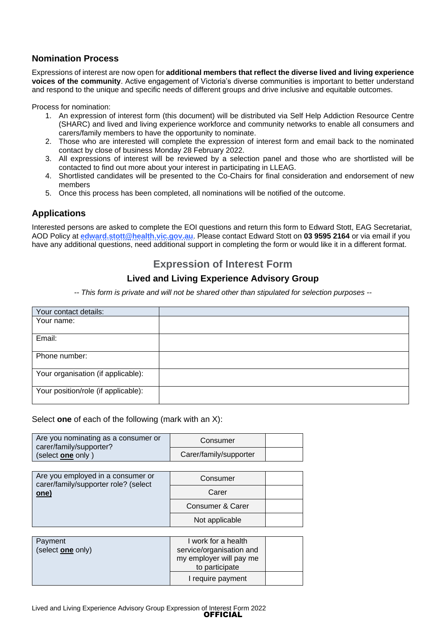## **Nomination Process**

Expressions of interest are now open for **additional members that reflect the diverse lived and living experience voices of the community**. Active engagement of Victoria's diverse communities is important to better understand and respond to the unique and specific needs of different groups and drive inclusive and equitable outcomes.

Process for nomination:

- 1. An expression of interest form (this document) will be distributed via Self Help Addiction Resource Centre (SHARC) and lived and living experience workforce and community networks to enable all consumers and carers/family members to have the opportunity to nominate.
- 2. Those who are interested will complete the expression of interest form and email back to the nominated contact by close of business Monday 28 February 2022.
- 3. All expressions of interest will be reviewed by a selection panel and those who are shortlisted will be contacted to find out more about your interest in participating in LLEAG.
- 4. Shortlisted candidates will be presented to the Co-Chairs for final consideration and endorsement of new members
- 5. Once this process has been completed, all nominations will be notified of the outcome.

## **Applications**

Interested persons are asked to complete the EOI questions and return this form to Edward Stott, EAG Secretariat, AOD Policy at **[edward.stott@health.vic.gov.au](mailto:edward.stott@health.vic.gov.au)**. Please contact Edward Stott on **03 9595 2164** or via email if you have any additional questions, need additional support in completing the form or would like it in a different format.

# **Expression of Interest Form**

## **Lived and Living Experience Advisory Group**

*-- This form is private and will not be shared other than stipulated for selection purposes --*

| Your contact details:               |  |
|-------------------------------------|--|
| Your name:                          |  |
| Email:                              |  |
| Phone number:                       |  |
| Your organisation (if applicable):  |  |
| Your position/role (if applicable): |  |

#### Select **one** of each of the following (mark with an X):

| Are you nominating as a consumer or<br>carer/family/supporter?<br>(select one only) | Consumer               |  |
|-------------------------------------------------------------------------------------|------------------------|--|
|                                                                                     | Carer/family/supporter |  |

| Are you employed in a consumer or<br>carer/family/supporter role? (select<br>one) | Consumer         |  |
|-----------------------------------------------------------------------------------|------------------|--|
|                                                                                   | Carer            |  |
|                                                                                   | Consumer & Carer |  |
|                                                                                   | Not applicable   |  |

| Payment<br>(select one only) | I work for a health<br>service/organisation and<br>my employer will pay me |  |
|------------------------------|----------------------------------------------------------------------------|--|
|                              | to participate                                                             |  |
|                              | I require payment                                                          |  |